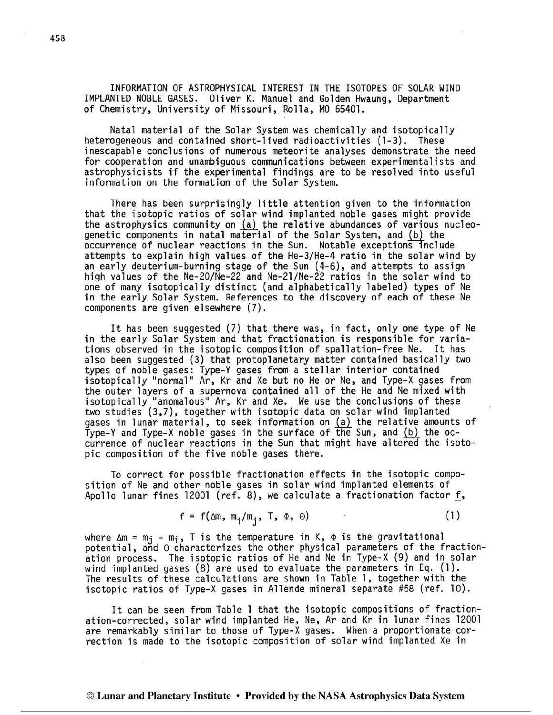INFORMATION OF ASTROPHYSICAL INTEREST IN THE ISOTOPES OF SOLAR WIND IMPLANTED NOBLE GASES. Oliver K. Manuel and Golden Hwaung, Department of Chemistry, University of Missouri, Rolla, MO 65401.

Natal material of the Solar System was chemically and isotopically heterogeneous and contained short-lived radioactivities (1-3). These inescapable conclusions of numerous meteorite analyses demonstrate the need for cooperation and unambiguous communications between experimentalists and astrophysicists if the experimental findings are to be resolved into useful information on the formation of the Solar System.

There has been surprisingly little attention given to the information that the isotopic ratios of solar wind implanted noble gases might provide the astrophysics community on (a) the relative abundances of various nucleogenetic components in natal material of the Solar System, and (b) the occurrence of nuclear reactions in the Sun. Notable exceptions include attempts to explain high values of the He-3/He-4 ratio in the solar wind by an early deuterium-burning stage of the Sun (4-6), and attempts to assign high values of the Ne-20/Ne-22 and Ne-21/Ne-22 ratios in the solar wind to one of many isotopically distinct (and alphabetically labeled) types of Ne in the early Solar System. References to the discovery of each of these Ne components are given elsewhere (7).

It has been suggested (7) that there was, in fact, only one type of Ne in the early Solar System and that fractionation is responsible for variations observed in the isotopic composition of spallation-free Ne. It has also been suggested (3) that protoplanetary matter contained basically two types of noble gases: Type-Y gases from a stellar interior contained isotopically "normal" Ar, Kr and Xe but no He or Ne, and Type-X gases from the outer layers of a supernova contained all of the He and Ne mixed with isotopically "anomalous" Ar, Kr and Xe. We use the conclusions of these two studies (3,7), together with isotopic data on solar wind implanted gases in lunar material, to seek information on (a) the relative amounts of Type-Y and Type-X noble gases in the surface of the Sun, and (b) the occurrence of nuclear reactions in the Sun that might have altered the isotopic composition of the five noble gases there.

To correct for possible fractionation effects in the isotopic composition of Ne and other noble gases in solar wind implanted elements of Apollo lunar fines  $12001$  (ref. 8), we calculate a fractionation factor f,

$$
f = f(\Delta m, m_{i}/m_{j}, T, \Phi, \Theta)
$$
 (1)

where  $\Delta m = m_j - m_i$ , T is the temperature in K,  $\Phi$  is the gravitational potential, and @ characterizes the other physical parameters of the fractionation process. The isotopic ratios of He and Ne in Type-X (9) and in solar wind implanted gases (8) are used to evaluate the parameters in Eq. (1). The results of these calculations are shown in Table 1, together with the isotopic ratios of Type-X gases in Allende mineral separate #58 (ref. 10).

It can be seen from Table 1 that the isotopic compositions of fractionation-corrected, solar wind implanted He, Ne, Ar and Kr in lunar fines 12001 are remarkably similar to those of Type-X gases. When a proportionate correction is made to the isotopic composition of solar wind implanted Xe in

## *O* **Lunar and Planetary Institute Provided by the NASA Astrophysics Data System**